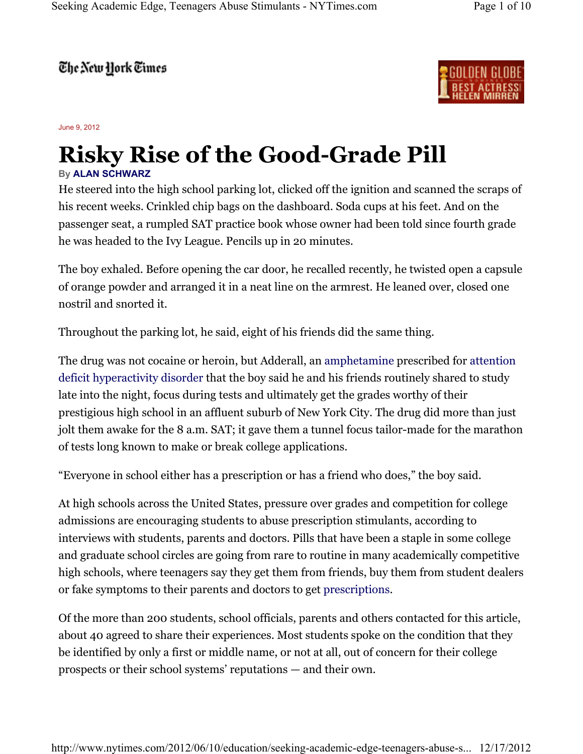## The New Hork Times



June 9, 2012

# **Risky Rise of the Good-Grade Pill By ALAN SCHWARZ**

He steered into the high school parking lot, clicked off the ignition and scanned the scraps of his recent weeks. Crinkled chip bags on the dashboard. Soda cups at his feet. And on the passenger seat, a rumpled SAT practice book whose owner had been told since fourth grade he was headed to the Ivy League. Pencils up in 20 minutes.

The boy exhaled. Before opening the car door, he recalled recently, he twisted open a capsule of orange powder and arranged it in a neat line on the armrest. He leaned over, closed one nostril and snorted it.

Throughout the parking lot, he said, eight of his friends did the same thing.

The drug was not cocaine or heroin, but Adderall, an amphetamine prescribed for attention deficit hyperactivity disorder that the boy said he and his friends routinely shared to study late into the night, focus during tests and ultimately get the grades worthy of their prestigious high school in an affluent suburb of New York City. The drug did more than just jolt them awake for the 8 a.m. SAT; it gave them a tunnel focus tailor-made for the marathon of tests long known to make or break college applications.

"Everyone in school either has a prescription or has a friend who does," the boy said.

At high schools across the United States, pressure over grades and competition for college admissions are encouraging students to abuse prescription stimulants, according to interviews with students, parents and doctors. Pills that have been a staple in some college and graduate school circles are going from rare to routine in many academically competitive high schools, where teenagers say they get them from friends, buy them from student dealers or fake symptoms to their parents and doctors to get prescriptions.

Of the more than 200 students, school officials, parents and others contacted for this article, about 40 agreed to share their experiences. Most students spoke on the condition that they be identified by only a first or middle name, or not at all, out of concern for their college prospects or their school systems' reputations — and their own.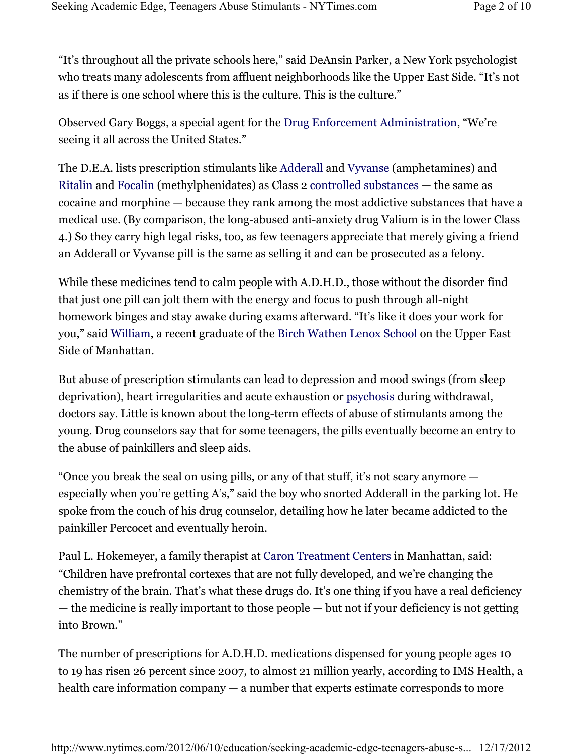"It's throughout all the private schools here," said DeAnsin Parker, a New York psychologist who treats many adolescents from affluent neighborhoods like the Upper East Side. "It's not as if there is one school where this is the culture. This is the culture."

Observed Gary Boggs, a special agent for the Drug Enforcement Administration, "We're seeing it all across the United States."

The D.E.A. lists prescription stimulants like Adderall and Vyvanse (amphetamines) and Ritalin and Focalin (methylphenidates) as Class 2 controlled substances — the same as cocaine and morphine — because they rank among the most addictive substances that have a medical use. (By comparison, the long-abused anti-anxiety drug Valium is in the lower Class 4.) So they carry high legal risks, too, as few teenagers appreciate that merely giving a friend an Adderall or Vyvanse pill is the same as selling it and can be prosecuted as a felony.

While these medicines tend to calm people with A.D.H.D., those without the disorder find that just one pill can jolt them with the energy and focus to push through all-night homework binges and stay awake during exams afterward. "It's like it does your work for you," said William, a recent graduate of the Birch Wathen Lenox School on the Upper East Side of Manhattan.

But abuse of prescription stimulants can lead to depression and mood swings (from sleep deprivation), heart irregularities and acute exhaustion or psychosis during withdrawal, doctors say. Little is known about the long-term effects of abuse of stimulants among the young. Drug counselors say that for some teenagers, the pills eventually become an entry to the abuse of painkillers and sleep aids.

"Once you break the seal on using pills, or any of that stuff, it's not scary anymore especially when you're getting A's," said the boy who snorted Adderall in the parking lot. He spoke from the couch of his drug counselor, detailing how he later became addicted to the painkiller Percocet and eventually heroin.

Paul L. Hokemeyer, a family therapist at Caron Treatment Centers in Manhattan, said: "Children have prefrontal cortexes that are not fully developed, and we're changing the chemistry of the brain. That's what these drugs do. It's one thing if you have a real deficiency — the medicine is really important to those people — but not if your deficiency is not getting into Brown."

The number of prescriptions for A.D.H.D. medications dispensed for young people ages 10 to 19 has risen 26 percent since 2007, to almost 21 million yearly, according to IMS Health, a health care information company — a number that experts estimate corresponds to more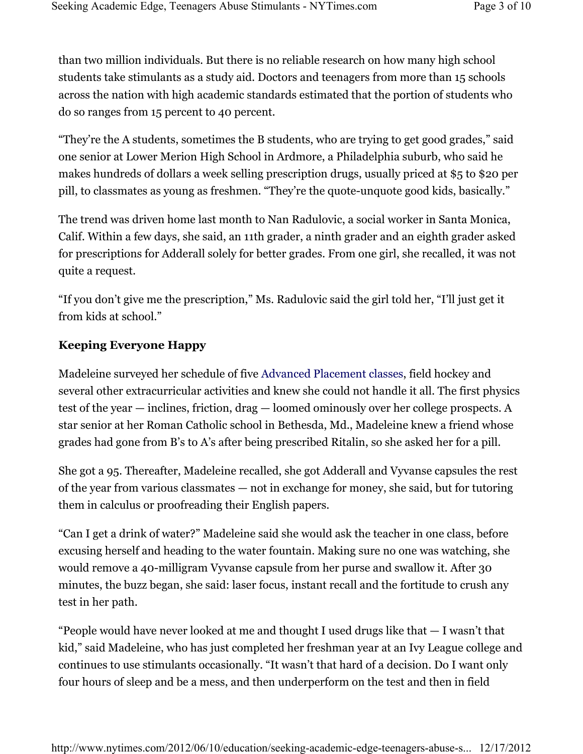than two million individuals. But there is no reliable research on how many high school students take stimulants as a study aid. Doctors and teenagers from more than 15 schools across the nation with high academic standards estimated that the portion of students who do so ranges from 15 percent to 40 percent.

"They're the A students, sometimes the B students, who are trying to get good grades," said one senior at Lower Merion High School in Ardmore, a Philadelphia suburb, who said he makes hundreds of dollars a week selling prescription drugs, usually priced at \$5 to \$20 per pill, to classmates as young as freshmen. "They're the quote-unquote good kids, basically."

The trend was driven home last month to Nan Radulovic, a social worker in Santa Monica, Calif. Within a few days, she said, an 11th grader, a ninth grader and an eighth grader asked for prescriptions for Adderall solely for better grades. From one girl, she recalled, it was not quite a request.

"If you don't give me the prescription," Ms. Radulovic said the girl told her, "I'll just get it from kids at school."

### **Keeping Everyone Happy**

Madeleine surveyed her schedule of five Advanced Placement classes, field hockey and several other extracurricular activities and knew she could not handle it all. The first physics test of the year — inclines, friction, drag — loomed ominously over her college prospects. A star senior at her Roman Catholic school in Bethesda, Md., Madeleine knew a friend whose grades had gone from B's to A's after being prescribed Ritalin, so she asked her for a pill.

She got a 95. Thereafter, Madeleine recalled, she got Adderall and Vyvanse capsules the rest of the year from various classmates — not in exchange for money, she said, but for tutoring them in calculus or proofreading their English papers.

"Can I get a drink of water?" Madeleine said she would ask the teacher in one class, before excusing herself and heading to the water fountain. Making sure no one was watching, she would remove a 40-milligram Vyvanse capsule from her purse and swallow it. After 30 minutes, the buzz began, she said: laser focus, instant recall and the fortitude to crush any test in her path.

"People would have never looked at me and thought I used drugs like that — I wasn't that kid," said Madeleine, who has just completed her freshman year at an Ivy League college and continues to use stimulants occasionally. "It wasn't that hard of a decision. Do I want only four hours of sleep and be a mess, and then underperform on the test and then in field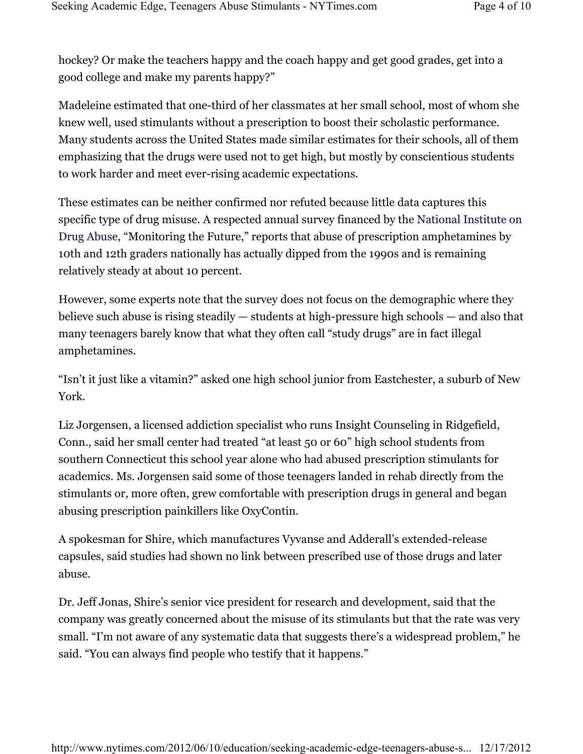hockey? Or make the teachers happy and the coach happy and get good grades, get into a good college and make my parents happy?"

Madeleine estimated that one-third of her classmates at her small school, most of whom she knew well, used stimulants without a prescription to boost their scholastic performance. Many students across the United States made similar estimates for their schools, all of them emphasizing that the drugs were used not to get high, but mostly by conscientious students to work harder and meet ever-rising academic expectations.

These estimates can be neither confirmed nor refuted because little data captures this specific type of drug misuse. A respected annual survey financed by the National Institute on Drug Abuse, "Monitoring the Future," reports that abuse of prescription amphetamines by 10th and 12th graders nationally has actually dipped from the 1990s and is remaining relatively steady at about 10 percent.

However, some experts note that the survey does not focus on the demographic where they believe such abuse is rising steadily — students at high-pressure high schools — and also that many teenagers barely know that what they often call "study drugs" are in fact illegal amphetamines.

"Isn't it just like a vitamin?" asked one high school junior from Eastchester, a suburb of New York.

Liz Jorgensen, a licensed addiction specialist who runs Insight Counseling in Ridgefield, Conn., said her small center had treated "at least 50 or 60" high school students from southern Connecticut this school year alone who had abused prescription stimulants for academics. Ms. Jorgensen said some of those teenagers landed in rehab directly from the stimulants or, more often, grew comfortable with prescription drugs in general and began abusing prescription painkillers like OxyContin.

A spokesman for Shire, which manufactures Vyvanse and Adderall's extended-release capsules, said studies had shown no link between prescribed use of those drugs and later abuse.

Dr. Jeff Jonas, Shire's senior vice president for research and development, said that the company was greatly concerned about the misuse of its stimulants but that the rate was very small. "I'm not aware of any systematic data that suggests there's a widespread problem," he said. "You can always find people who testify that it happens."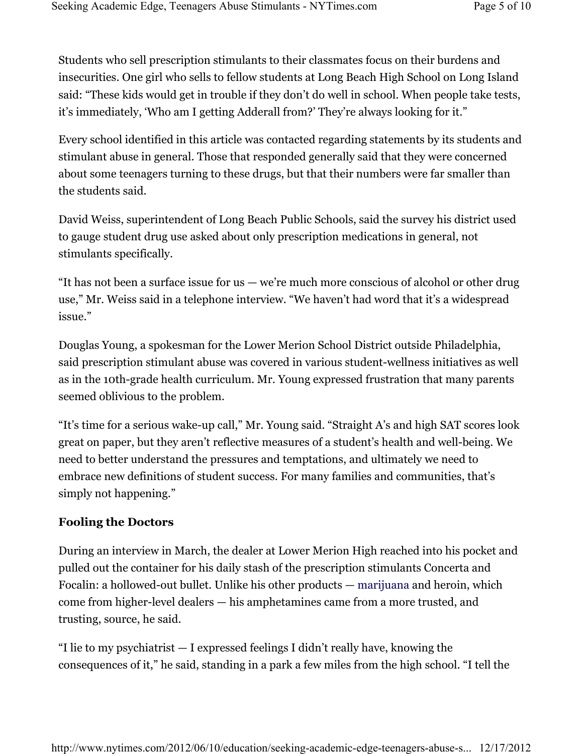Students who sell prescription stimulants to their classmates focus on their burdens and insecurities. One girl who sells to fellow students at Long Beach High School on Long Island said: "These kids would get in trouble if they don't do well in school. When people take tests, it's immediately, 'Who am I getting Adderall from?' They're always looking for it."

Every school identified in this article was contacted regarding statements by its students and stimulant abuse in general. Those that responded generally said that they were concerned about some teenagers turning to these drugs, but that their numbers were far smaller than the students said.

David Weiss, superintendent of Long Beach Public Schools, said the survey his district used to gauge student drug use asked about only prescription medications in general, not stimulants specifically.

"It has not been a surface issue for us  $-$  we're much more conscious of alcohol or other drug use," Mr. Weiss said in a telephone interview. "We haven't had word that it's a widespread issue."

Douglas Young, a spokesman for the Lower Merion School District outside Philadelphia, said prescription stimulant abuse was covered in various student-wellness initiatives as well as in the 10th-grade health curriculum. Mr. Young expressed frustration that many parents seemed oblivious to the problem.

"It's time for a serious wake-up call," Mr. Young said. "Straight A's and high SAT scores look great on paper, but they aren't reflective measures of a student's health and well-being. We need to better understand the pressures and temptations, and ultimately we need to embrace new definitions of student success. For many families and communities, that's simply not happening."

### **Fooling the Doctors**

During an interview in March, the dealer at Lower Merion High reached into his pocket and pulled out the container for his daily stash of the prescription stimulants Concerta and Focalin: a hollowed-out bullet. Unlike his other products — marijuana and heroin, which come from higher-level dealers — his amphetamines came from a more trusted, and trusting, source, he said.

"I lie to my psychiatrist — I expressed feelings I didn't really have, knowing the consequences of it," he said, standing in a park a few miles from the high school. "I tell the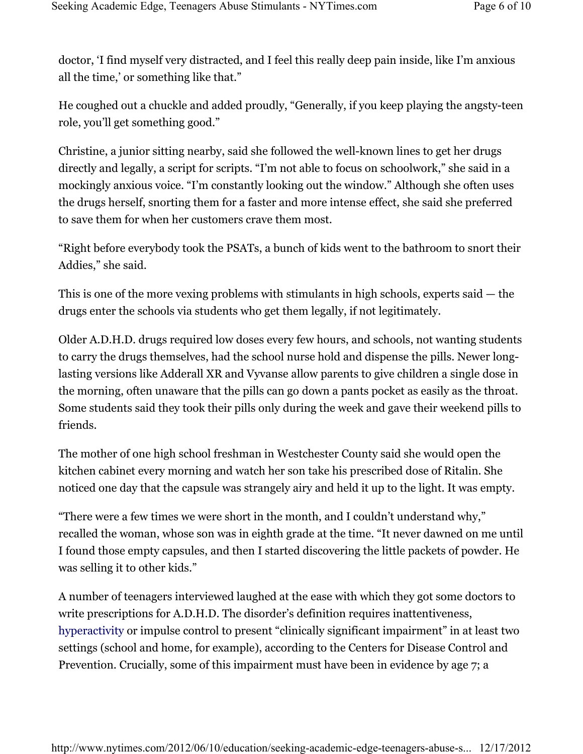doctor, 'I find myself very distracted, and I feel this really deep pain inside, like I'm anxious all the time,' or something like that."

He coughed out a chuckle and added proudly, "Generally, if you keep playing the angsty-teen role, you'll get something good."

Christine, a junior sitting nearby, said she followed the well-known lines to get her drugs directly and legally, a script for scripts. "I'm not able to focus on schoolwork," she said in a mockingly anxious voice. "I'm constantly looking out the window." Although she often uses the drugs herself, snorting them for a faster and more intense effect, she said she preferred to save them for when her customers crave them most.

"Right before everybody took the PSATs, a bunch of kids went to the bathroom to snort their Addies," she said.

This is one of the more vexing problems with stimulants in high schools, experts said — the drugs enter the schools via students who get them legally, if not legitimately.

Older A.D.H.D. drugs required low doses every few hours, and schools, not wanting students to carry the drugs themselves, had the school nurse hold and dispense the pills. Newer longlasting versions like Adderall XR and Vyvanse allow parents to give children a single dose in the morning, often unaware that the pills can go down a pants pocket as easily as the throat. Some students said they took their pills only during the week and gave their weekend pills to friends.

The mother of one high school freshman in Westchester County said she would open the kitchen cabinet every morning and watch her son take his prescribed dose of Ritalin. She noticed one day that the capsule was strangely airy and held it up to the light. It was empty.

"There were a few times we were short in the month, and I couldn't understand why," recalled the woman, whose son was in eighth grade at the time. "It never dawned on me until I found those empty capsules, and then I started discovering the little packets of powder. He was selling it to other kids."

A number of teenagers interviewed laughed at the ease with which they got some doctors to write prescriptions for A.D.H.D. The disorder's definition requires inattentiveness, hyperactivity or impulse control to present "clinically significant impairment" in at least two settings (school and home, for example), according to the Centers for Disease Control and Prevention. Crucially, some of this impairment must have been in evidence by age 7; a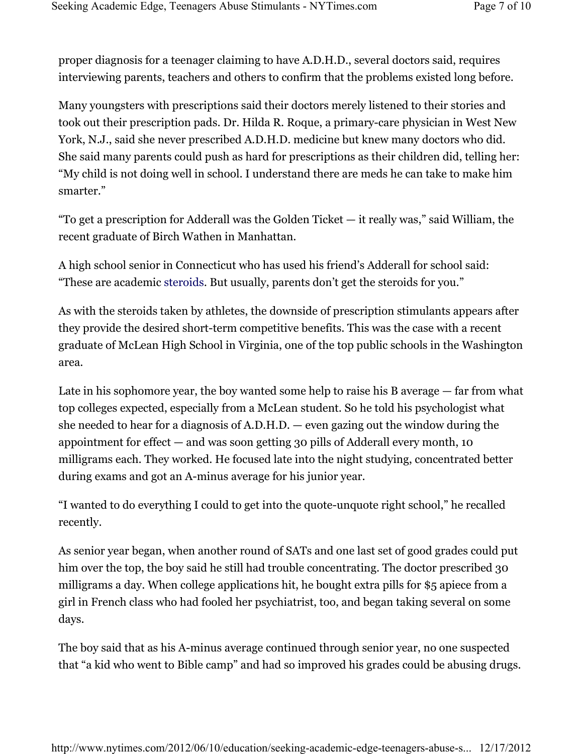proper diagnosis for a teenager claiming to have A.D.H.D., several doctors said, requires interviewing parents, teachers and others to confirm that the problems existed long before.

Many youngsters with prescriptions said their doctors merely listened to their stories and took out their prescription pads. Dr. Hilda R. Roque, a primary-care physician in West New York, N.J., said she never prescribed A.D.H.D. medicine but knew many doctors who did. She said many parents could push as hard for prescriptions as their children did, telling her: "My child is not doing well in school. I understand there are meds he can take to make him smarter."

"To get a prescription for Adderall was the Golden Ticket — it really was," said William, the recent graduate of Birch Wathen in Manhattan.

A high school senior in Connecticut who has used his friend's Adderall for school said: "These are academic steroids. But usually, parents don't get the steroids for you."

As with the steroids taken by athletes, the downside of prescription stimulants appears after they provide the desired short-term competitive benefits. This was the case with a recent graduate of McLean High School in Virginia, one of the top public schools in the Washington area.

Late in his sophomore year, the boy wanted some help to raise his B average — far from what top colleges expected, especially from a McLean student. So he told his psychologist what she needed to hear for a diagnosis of A.D.H.D. — even gazing out the window during the appointment for effect — and was soon getting 30 pills of Adderall every month, 10 milligrams each. They worked. He focused late into the night studying, concentrated better during exams and got an A-minus average for his junior year.

"I wanted to do everything I could to get into the quote-unquote right school," he recalled recently.

As senior year began, when another round of SATs and one last set of good grades could put him over the top, the boy said he still had trouble concentrating. The doctor prescribed 30 milligrams a day. When college applications hit, he bought extra pills for \$5 apiece from a girl in French class who had fooled her psychiatrist, too, and began taking several on some days.

The boy said that as his A-minus average continued through senior year, no one suspected that "a kid who went to Bible camp" and had so improved his grades could be abusing drugs.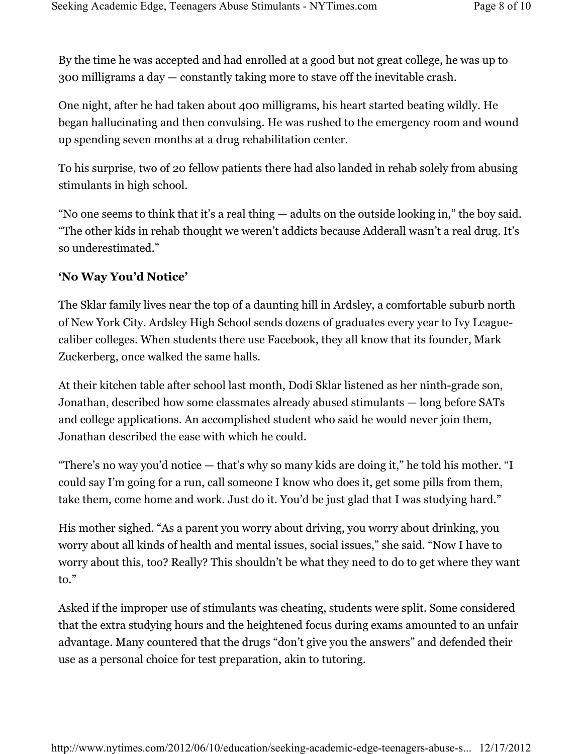By the time he was accepted and had enrolled at a good but not great college, he was up to 300 milligrams a day — constantly taking more to stave off the inevitable crash.

One night, after he had taken about 400 milligrams, his heart started beating wildly. He began hallucinating and then convulsing. He was rushed to the emergency room and wound up spending seven months at a drug rehabilitation center.

To his surprise, two of 20 fellow patients there had also landed in rehab solely from abusing stimulants in high school.

"No one seems to think that it's a real thing — adults on the outside looking in," the boy said. "The other kids in rehab thought we weren't addicts because Adderall wasn't a real drug. It's so underestimated."

#### **'No Way You'd Notice'**

The Sklar family lives near the top of a daunting hill in Ardsley, a comfortable suburb north of New York City. Ardsley High School sends dozens of graduates every year to Ivy Leaguecaliber colleges. When students there use Facebook, they all know that its founder, Mark Zuckerberg, once walked the same halls.

At their kitchen table after school last month, Dodi Sklar listened as her ninth-grade son, Jonathan, described how some classmates already abused stimulants — long before SATs and college applications. An accomplished student who said he would never join them, Jonathan described the ease with which he could.

"There's no way you'd notice — that's why so many kids are doing it," he told his mother. "I could say I'm going for a run, call someone I know who does it, get some pills from them, take them, come home and work. Just do it. You'd be just glad that I was studying hard."

His mother sighed. "As a parent you worry about driving, you worry about drinking, you worry about all kinds of health and mental issues, social issues," she said. "Now I have to worry about this, too? Really? This shouldn't be what they need to do to get where they want to."

Asked if the improper use of stimulants was cheating, students were split. Some considered that the extra studying hours and the heightened focus during exams amounted to an unfair advantage. Many countered that the drugs "don't give you the answers" and defended their use as a personal choice for test preparation, akin to tutoring.